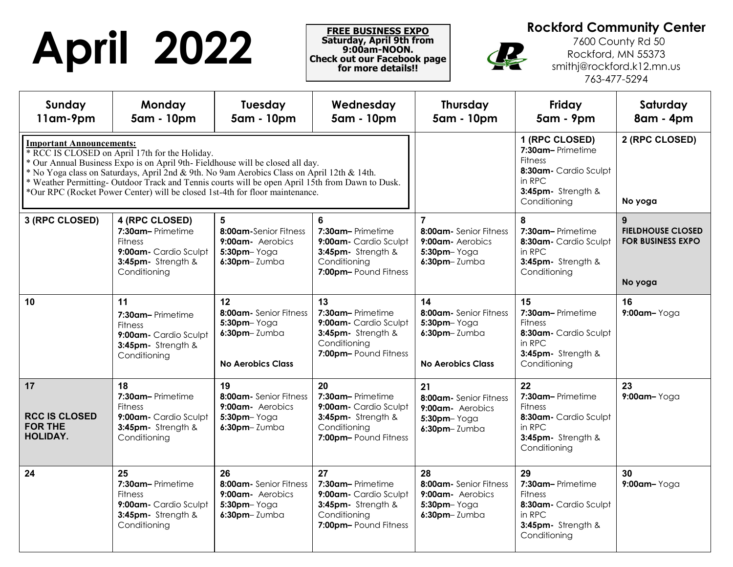## **April 2022 Rockford Community Center**<br> **Rockford Community Center**<br> **Rockford, MN 55373**<br> **Rockford, MN 55373**<br> **Rockford, MN 55373**<br> **Rockford, MN 55373**<br> **Rockford, MN 55373**<br> **Rockford, MN 55373**<br> **Rockford, MN 55373**

**FREE BUSINESS EXPO Saturday, April 9th from 9:00am-NOON. Check out our Facebook page for more details!!** 

 7600 County Rd 50 Rockford, MN 55373 smithj@rockford.k12.mn.us 763-477-5294

| Sunday<br>11am-9pm                                              | <b>Monday</b><br>5am - 10pm                                                                                                                                                                                                                                                                                                                                                                                      | <b>Tuesday</b><br>5am - 10pm                                                                | Wednesday<br>5am - 10pm                                                                                       | <b>Thursday</b><br>5am - 10pm                                                                                                 | Friday<br><b>5am - 9pm</b>                                                                                        | Saturday<br>8am - 4pm                                                |
|-----------------------------------------------------------------|------------------------------------------------------------------------------------------------------------------------------------------------------------------------------------------------------------------------------------------------------------------------------------------------------------------------------------------------------------------------------------------------------------------|---------------------------------------------------------------------------------------------|---------------------------------------------------------------------------------------------------------------|-------------------------------------------------------------------------------------------------------------------------------|-------------------------------------------------------------------------------------------------------------------|----------------------------------------------------------------------|
| <b>Important Announcements:</b>                                 | * RCC IS CLOSED on April 17th for the Holiday.<br>* Our Annual Business Expo is on April 9th-Fieldhouse will be closed all day.<br>* No Yoga class on Saturdays, April 2nd & 9th. No 9am Aerobics Class on April 12th & 14th.<br>* Weather Permitting-Outdoor Track and Tennis courts will be open April 15th from Dawn to Dusk.<br>*Our RPC (Rocket Power Center) will be closed 1st-4th for floor maintenance. |                                                                                             |                                                                                                               | 1 (RPC CLOSED)<br>7:30am-Primetime<br><b>Fitness</b><br>8:30am- Cardio Sculpt<br>in RPC<br>3:45pm- Strength &<br>Conditioning | 2 (RPC CLOSED)<br>No yoga                                                                                         |                                                                      |
| 3 (RPC CLOSED)                                                  | 4 (RPC CLOSED)<br>7:30am-Primetime<br><b>Fitness</b><br>9:00am- Cardio Sculpt<br>3:45pm- Strength &<br>Conditioning                                                                                                                                                                                                                                                                                              | 5<br>8:00am-Senior Fitness<br>9:00am - Aerobics<br>$5:30$ pm- $Yogq$<br>$6:30$ pm-Zumba     | 6<br>7:30am-Primetime<br>9:00am - Cardio Sculpt<br>3:45pm- Strength &<br>Conditioning<br>7:00pm-Pound Fitness | $\overline{7}$<br>8:00am- Senior Fitness<br>9:00am - Aerobics<br>$5:30$ pm- $Yogq$<br>$6:30$ pm-Zumba                         | 8<br>7:30am-Primetime<br>8:30am - Cardio Sculpt<br>in RPC<br>3:45pm- Strength &<br>Conditioning                   | 9<br><b>FIELDHOUSE CLOSED</b><br><b>FOR BUSINESS EXPO</b><br>No yoga |
| 10                                                              | 11<br>7:30am-Primetime<br><b>Fitness</b><br>9:00am- Cardio Sculpt<br>3:45pm- Strength &<br>Conditioning                                                                                                                                                                                                                                                                                                          | 12<br>8:00am - Senior Fitness<br>5:30pm-Yoga<br>$6:30$ pm-Zumba<br><b>No Aerobics Class</b> | 13<br>7:30am-Primetime<br>9:00am- Cardio Sculpt<br>3:45pm- Strength &<br>Conditioning<br>7:00pm-Pound Fitness | 14<br>8:00am - Senior Fitness<br>$5:30$ pm- $Yog$ a<br>$6:30$ pm-Zumba<br><b>No Aerobics Class</b>                            | 15<br>7:30am-Primetime<br><b>Fitness</b><br>8:30am- Cardio Sculpt<br>in RPC<br>3:45pm- Strength &<br>Conditioning | 16<br>$9:00$ am-Yoga                                                 |
| 17<br><b>RCC IS CLOSED</b><br><b>FOR THE</b><br><b>HOLIDAY.</b> | 18<br>7:30am-Primetime<br><b>Fitness</b><br>9:00am- Cardio Sculpt<br>3:45pm- Strength &<br>Conditioning                                                                                                                                                                                                                                                                                                          | 19<br>8:00am - Senior Fitness<br>9:00am - Aerobics<br>$5:30$ pm- $Yogq$<br>$6:30$ pm-Zumba  | 20<br>7:30am-Primetime<br>9:00am- Cardio Sculpt<br>3:45pm- Strength &<br>Conditioning<br>7:00pm-Pound Fitness | 21<br>8:00am- Senior Fitness<br>9:00am- Aerobics<br>5:30pm-Yoga<br>$6:30$ pm-Zumba                                            | 22<br>7:30am-Primetime<br><b>Fitness</b><br>8:30am- Cardio Sculpt<br>in RPC<br>3:45pm- Strength &<br>Conditioning | 23<br>9:00am-Yoga                                                    |
| 24                                                              | 25<br>7:30am-Primetime<br><b>Fitness</b><br>9:00am- Cardio Sculpt<br>3:45pm- Strength &<br>Conditioning                                                                                                                                                                                                                                                                                                          | 26<br>8:00am - Senior Fitness<br>9:00am - Aerobics<br>5:30pm-Yoga<br>$6:30$ pm-Zumba        | 27<br>7:30am-Primetime<br>9:00am- Cardio Sculpt<br>3:45pm- Strength &<br>Conditioning<br>7:00pm-Pound Fitness | 28<br>8:00am- Senior Fitness<br>9:00am - Aerobics<br>$5:30$ pm- $Yog$ a<br>$6:30$ pm-Zumba                                    | 29<br>7:30am-Primetime<br><b>Fitness</b><br>8:30am- Cardio Sculpt<br>in RPC<br>3:45pm- Strength &<br>Conditioning | 30<br>$9:00$ am-Yoga                                                 |